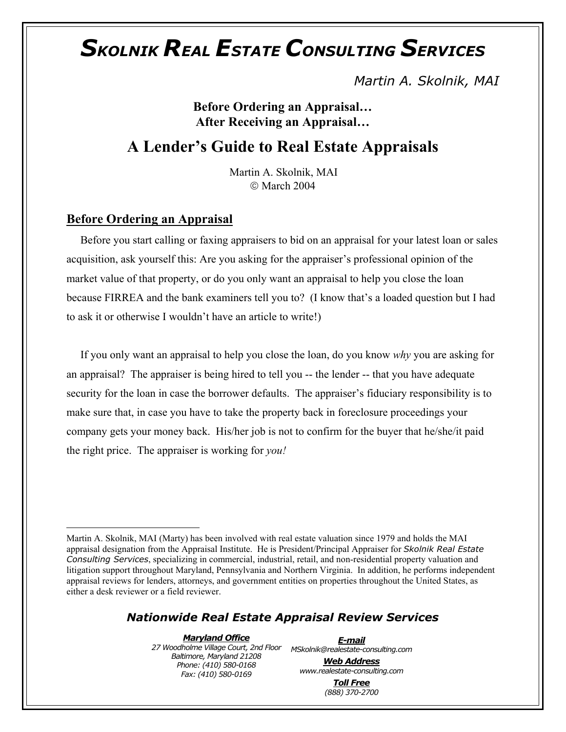*Martin A. Skolnik, MAI* 

**Before Ordering an Appraisal… After Receiving an Appraisal…**

### **A Lender's Guide to Real Estate Appraisals**

[M](#page-0-0)artin A. Skolnik, MAI March 2004

#### **Before Ordering an Appraisal**

 $\overline{a}$ 

 Before you start calling or faxing appraisers to bid on an appraisal for your latest loan or sales acquisition, ask yourself this: Are you asking for the appraiser's professional opinion of the market value of that property, or do you only want an appraisal to help you close the loan because FIRREA and the bank examiners tell you to? (I know that's a loaded question but I had to ask it or otherwise I wouldn't have an article to write!)

 If you only want an appraisal to help you close the loan, do you know *why* you are asking for an appraisal? The appraiser is being hired to tell you -- the lender -- that you have adequate security for the loan in case the borrower defaults. The appraiser's fiduciary responsibility is to make sure that, in case you have to take the property back in foreclosure proceedings your company gets your money back. His/her job is not to confirm for the buyer that he/she/it paid the right price. The appraiser is working for *you!*

#### *Nationwide Real Estate Appraisal Review Services*

*Maryland Office 27 Woodholme Village Court, 2nd Floor MSkolnik@realestate-consulting.com Baltimore, Maryland 21208 Phone: (410) 580-0168 Fax: (410) 580-0169* 

*E-mail*

*Web Address www.realestate-consulting.com Toll Free*

*(888) 370-2700* 

<span id="page-0-0"></span>Martin A. Skolnik, MAI (Marty) has been involved with real estate valuation since 1979 and holds the MAI appraisal designation from the Appraisal Institute. He is President/Principal Appraiser for *Skolnik Real Estate Consulting Services*, specializing in commercial, industrial, retail, and non-residential property valuation and litigation support throughout Maryland, Pennsylvania and Northern Virginia. In addition, he performs independent appraisal reviews for lenders, attorneys, and government entities on properties throughout the United States, as either a desk reviewer or a field reviewer.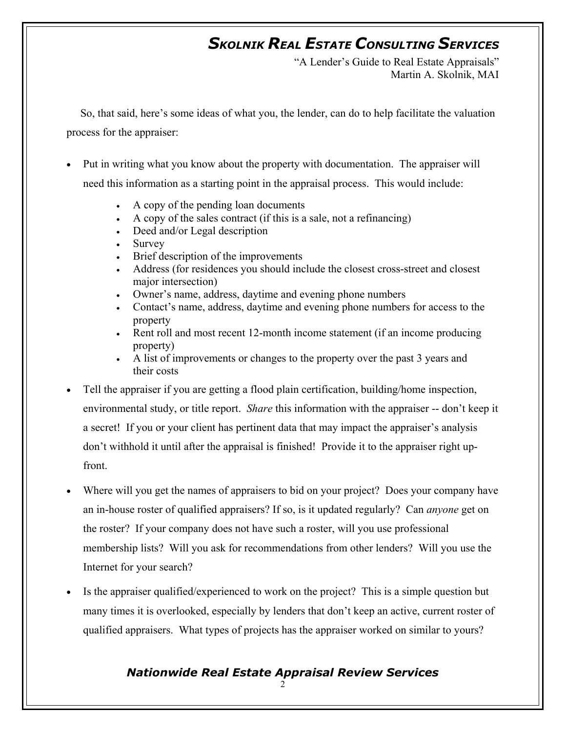"A Lender's Guide to Real Estate Appraisals" Martin A. Skolnik, MAI

 So, that said, here's some ideas of what you, the lender, can do to help facilitate the valuation process for the appraiser:

- Put in writing what you know about the property with documentation. The appraiser will need this information as a starting point in the appraisal process. This would include:
	- A copy of the pending loan documents
	- A copy of the sales contract (if this is a sale, not a refinancing)
	- Deed and/or Legal description
	- **Survey**
	- Brief description of the improvements
	- Address (for residences you should include the closest cross-street and closest major intersection)
	- Owner's name, address, daytime and evening phone numbers
	- Contact's name, address, daytime and evening phone numbers for access to the property
	- Rent roll and most recent 12-month income statement (if an income producing property)
	- A list of improvements or changes to the property over the past 3 years and their costs
- Tell the appraiser if you are getting a flood plain certification, building/home inspection, environmental study, or title report. *Share* this information with the appraiser -- don't keep it a secret! If you or your client has pertinent data that may impact the appraiser's analysis don't withhold it until after the appraisal is finished! Provide it to the appraiser right upfront.
- Where will you get the names of appraisers to bid on your project? Does your company have an in-house roster of qualified appraisers? If so, is it updated regularly? Can *anyone* get on the roster? If your company does not have such a roster, will you use professional membership lists? Will you ask for recommendations from other lenders? Will you use the Internet for your search?
- Is the appraiser qualified/experienced to work on the project? This is a simple question but many times it is overlooked, especially by lenders that don't keep an active, current roster of qualified appraisers. What types of projects has the appraiser worked on similar to yours?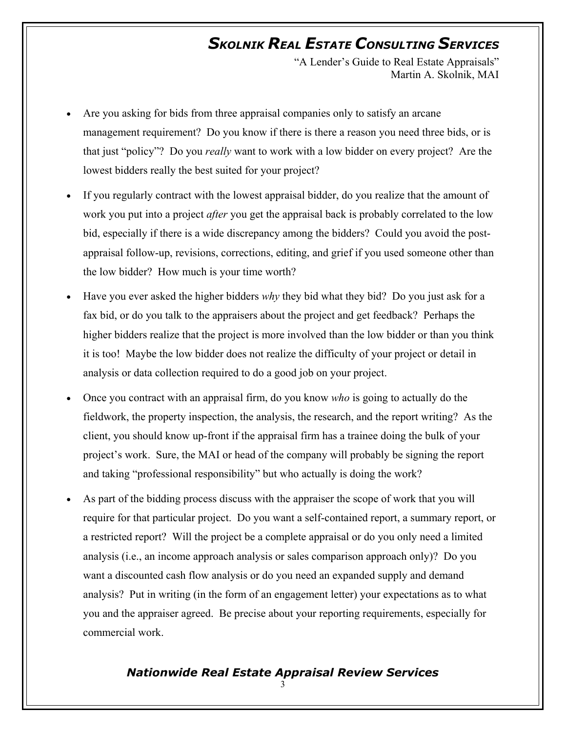"A Lender's Guide to Real Estate Appraisals" Martin A. Skolnik, MAI

- Are you asking for bids from three appraisal companies only to satisfy an arcane management requirement? Do you know if there is there a reason you need three bids, or is that just "policy"? Do you *really* want to work with a low bidder on every project? Are the lowest bidders really the best suited for your project?
- If you regularly contract with the lowest appraisal bidder, do you realize that the amount of work you put into a project *after* you get the appraisal back is probably correlated to the low bid, especially if there is a wide discrepancy among the bidders? Could you avoid the postappraisal follow-up, revisions, corrections, editing, and grief if you used someone other than the low bidder? How much is your time worth?
- Have you ever asked the higher bidders *why* they bid what they bid? Do you just ask for a fax bid, or do you talk to the appraisers about the project and get feedback? Perhaps the higher bidders realize that the project is more involved than the low bidder or than you think it is too! Maybe the low bidder does not realize the difficulty of your project or detail in analysis or data collection required to do a good job on your project.
- Once you contract with an appraisal firm, do you know *who* is going to actually do the fieldwork, the property inspection, the analysis, the research, and the report writing? As the client, you should know up-front if the appraisal firm has a trainee doing the bulk of your project's work. Sure, the MAI or head of the company will probably be signing the report and taking "professional responsibility" but who actually is doing the work?
- As part of the bidding process discuss with the appraiser the scope of work that you will require for that particular project. Do you want a self-contained report, a summary report, or a restricted report? Will the project be a complete appraisal or do you only need a limited analysis (i.e., an income approach analysis or sales comparison approach only)? Do you want a discounted cash flow analysis or do you need an expanded supply and demand analysis? Put in writing (in the form of an engagement letter) your expectations as to what you and the appraiser agreed. Be precise about your reporting requirements, especially for commercial work.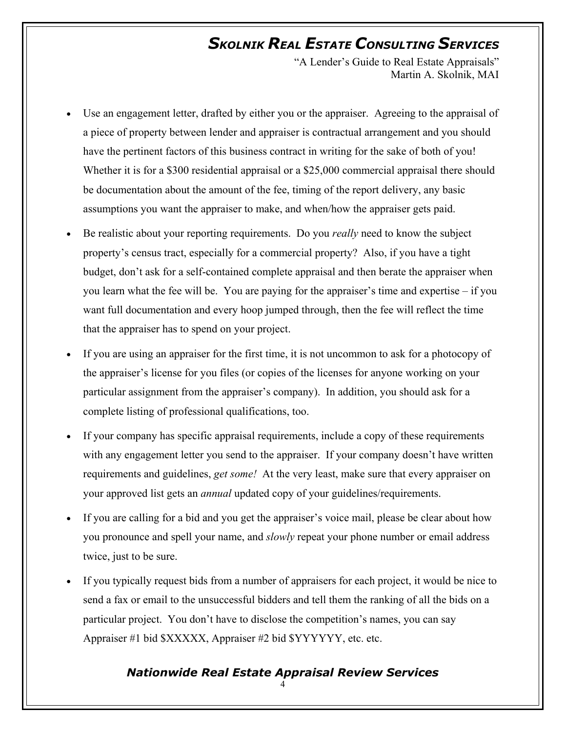"A Lender's Guide to Real Estate Appraisals" Martin A. Skolnik, MAI

- Use an engagement letter, drafted by either you or the appraiser. Agreeing to the appraisal of a piece of property between lender and appraiser is contractual arrangement and you should have the pertinent factors of this business contract in writing for the sake of both of you! Whether it is for a \$300 residential appraisal or a \$25,000 commercial appraisal there should be documentation about the amount of the fee, timing of the report delivery, any basic assumptions you want the appraiser to make, and when/how the appraiser gets paid.
- Be realistic about your reporting requirements. Do you *really* need to know the subject property's census tract, especially for a commercial property? Also, if you have a tight budget, don't ask for a self-contained complete appraisal and then berate the appraiser when you learn what the fee will be. You are paying for the appraiser's time and expertise – if you want full documentation and every hoop jumped through, then the fee will reflect the time that the appraiser has to spend on your project.
- If you are using an appraiser for the first time, it is not uncommon to ask for a photocopy of the appraiser's license for you files (or copies of the licenses for anyone working on your particular assignment from the appraiser's company). In addition, you should ask for a complete listing of professional qualifications, too.
- If your company has specific appraisal requirements, include a copy of these requirements with any engagement letter you send to the appraiser. If your company doesn't have written requirements and guidelines, *get some!* At the very least, make sure that every appraiser on your approved list gets an *annual* updated copy of your guidelines/requirements.
- If you are calling for a bid and you get the appraiser's voice mail, please be clear about how you pronounce and spell your name, and *slowly* repeat your phone number or email address twice, just to be sure.
- If you typically request bids from a number of appraisers for each project, it would be nice to send a fax or email to the unsuccessful bidders and tell them the ranking of all the bids on a particular project. You don't have to disclose the competition's names, you can say Appraiser #1 bid \$XXXXX, Appraiser #2 bid \$YYYYYY, etc. etc.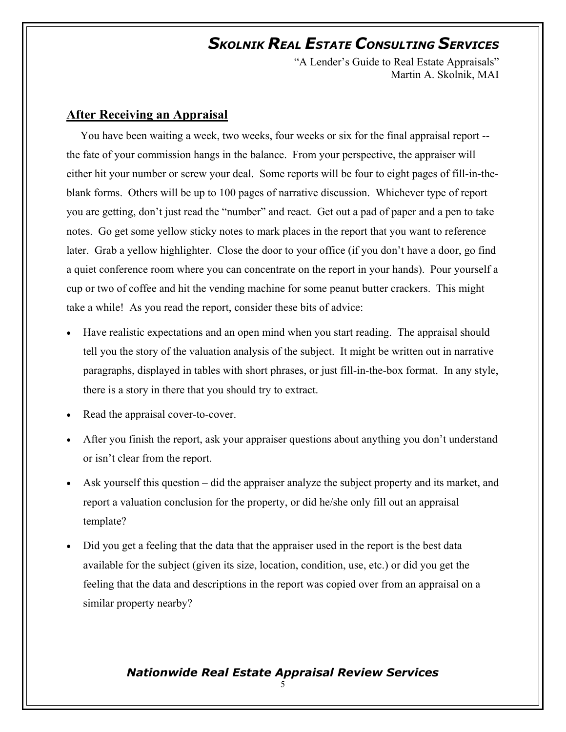"A Lender's Guide to Real Estate Appraisals" Martin A. Skolnik, MAI

#### **After Receiving an Appraisal**

 You have been waiting a week, two weeks, four weeks or six for the final appraisal report - the fate of your commission hangs in the balance. From your perspective, the appraiser will either hit your number or screw your deal. Some reports will be four to eight pages of fill-in-theblank forms. Others will be up to 100 pages of narrative discussion. Whichever type of report you are getting, don't just read the "number" and react. Get out a pad of paper and a pen to take notes. Go get some yellow sticky notes to mark places in the report that you want to reference later. Grab a yellow highlighter. Close the door to your office (if you don't have a door, go find a quiet conference room where you can concentrate on the report in your hands). Pour yourself a cup or two of coffee and hit the vending machine for some peanut butter crackers. This might take a while! As you read the report, consider these bits of advice:

- Have realistic expectations and an open mind when you start reading. The appraisal should tell you the story of the valuation analysis of the subject. It might be written out in narrative paragraphs, displayed in tables with short phrases, or just fill-in-the-box format. In any style, there is a story in there that you should try to extract.
- Read the appraisal cover-to-cover.
- After you finish the report, ask your appraiser questions about anything you don't understand or isn't clear from the report.
- Ask yourself this question did the appraiser analyze the subject property and its market, and report a valuation conclusion for the property, or did he/she only fill out an appraisal template?
- Did you get a feeling that the data that the appraiser used in the report is the best data available for the subject (given its size, location, condition, use, etc.) or did you get the feeling that the data and descriptions in the report was copied over from an appraisal on a similar property nearby?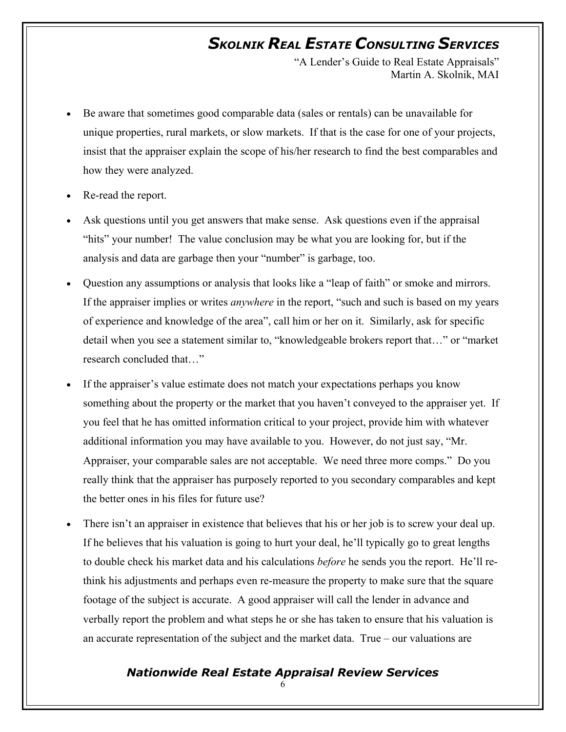"A Lender's Guide to Real Estate Appraisals" Martin A. Skolnik, MAI

- Be aware that sometimes good comparable data (sales or rentals) can be unavailable for unique properties, rural markets, or slow markets. If that is the case for one of your projects, insist that the appraiser explain the scope of his/her research to find the best comparables and how they were analyzed.
- Re-read the report.
- Ask questions until you get answers that make sense. Ask questions even if the appraisal "hits" your number! The value conclusion may be what you are looking for, but if the analysis and data are garbage then your "number" is garbage, too.
- Question any assumptions or analysis that looks like a "leap of faith" or smoke and mirrors. If the appraiser implies or writes *anywhere* in the report, "such and such is based on my years of experience and knowledge of the area", call him or her on it. Similarly, ask for specific detail when you see a statement similar to, "knowledgeable brokers report that…" or "market research concluded that…"
- If the appraiser's value estimate does not match your expectations perhaps you know something about the property or the market that you haven't conveyed to the appraiser yet. If you feel that he has omitted information critical to your project, provide him with whatever additional information you may have available to you. However, do not just say, "Mr. Appraiser, your comparable sales are not acceptable. We need three more comps." Do you really think that the appraiser has purposely reported to you secondary comparables and kept the better ones in his files for future use?
- There isn't an appraiser in existence that believes that his or her job is to screw your deal up. If he believes that his valuation is going to hurt your deal, he'll typically go to great lengths to double check his market data and his calculations *before* he sends you the report. He'll rethink his adjustments and perhaps even re-measure the property to make sure that the square footage of the subject is accurate. A good appraiser will call the lender in advance and verbally report the problem and what steps he or she has taken to ensure that his valuation is an accurate representation of the subject and the market data. True – our valuations are

#### *Nationwide Real Estate Appraisal Review Services*

6